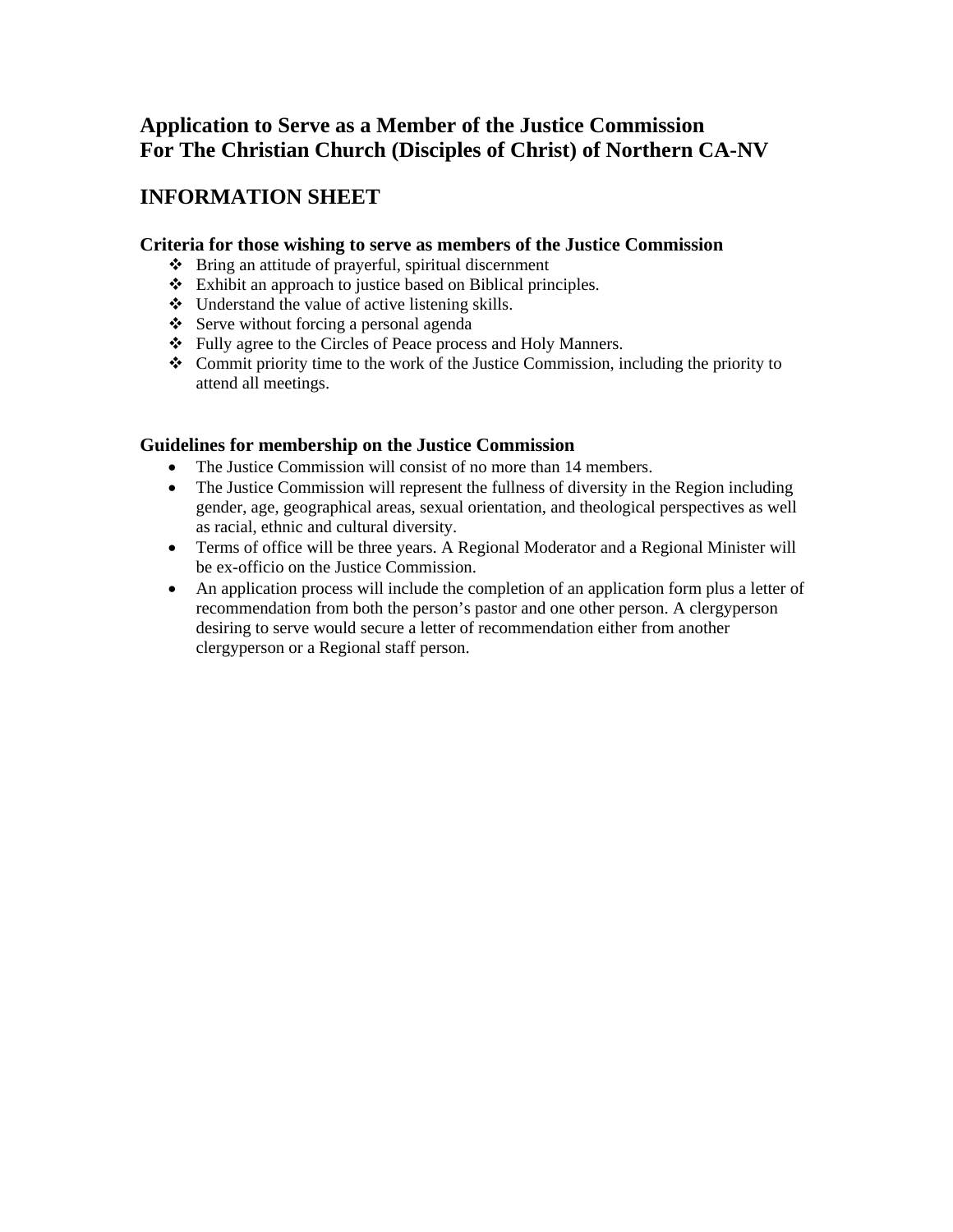# **INFORMATION SHEET**

#### **Criteria for those wishing to serve as members of the Justice Commission**

- Bring an attitude of prayerful, spiritual discernment
- Exhibit an approach to justice based on Biblical principles.
- Understand the value of active listening skills.
- Serve without forcing a personal agenda
- Fully agree to the Circles of Peace process and Holy Manners.
- Commit priority time to the work of the Justice Commission, including the priority to attend all meetings.

#### **Guidelines for membership on the Justice Commission**

- The Justice Commission will consist of no more than 14 members.
- The Justice Commission will represent the fullness of diversity in the Region including gender, age, geographical areas, sexual orientation, and theological perspectives as well as racial, ethnic and cultural diversity.
- Terms of office will be three years. A Regional Moderator and a Regional Minister will be ex-officio on the Justice Commission.
- An application process will include the completion of an application form plus a letter of recommendation from both the person's pastor and one other person. A clergyperson desiring to serve would secure a letter of recommendation either from another clergyperson or a Regional staff person.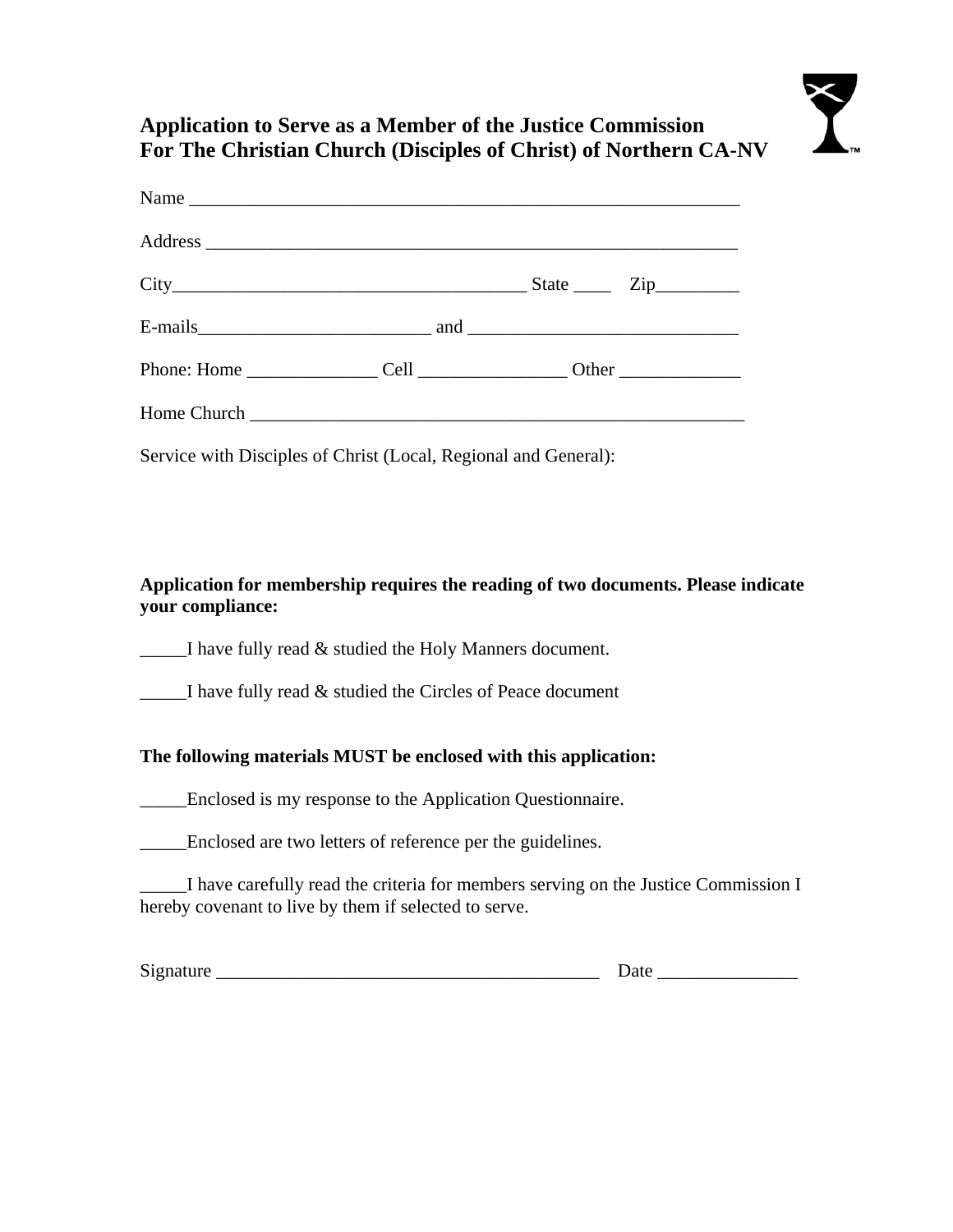|  | $City$ $City$ $Zip$ $Zip$ |
|--|---------------------------|
|  |                           |
|  |                           |
|  |                           |

Service with Disciples of Christ (Local, Regional and General):

**Application for membership requires the reading of two documents. Please indicate your compliance:** 

\_\_\_\_\_I have fully read & studied the Holy Manners document.

\_\_\_\_\_I have fully read & studied the Circles of Peace document

### **The following materials MUST be enclosed with this application:**

\_\_\_\_\_Enclosed is my response to the Application Questionnaire.

\_\_\_\_\_Enclosed are two letters of reference per the guidelines.

I have carefully read the criteria for members serving on the Justice Commission I hereby covenant to live by them if selected to serve.

Signature \_\_\_\_\_\_\_\_\_\_\_\_\_\_\_\_\_\_\_\_\_\_\_\_\_\_\_\_\_\_\_\_\_\_\_\_\_\_\_\_\_ Date \_\_\_\_\_\_\_\_\_\_\_\_\_\_\_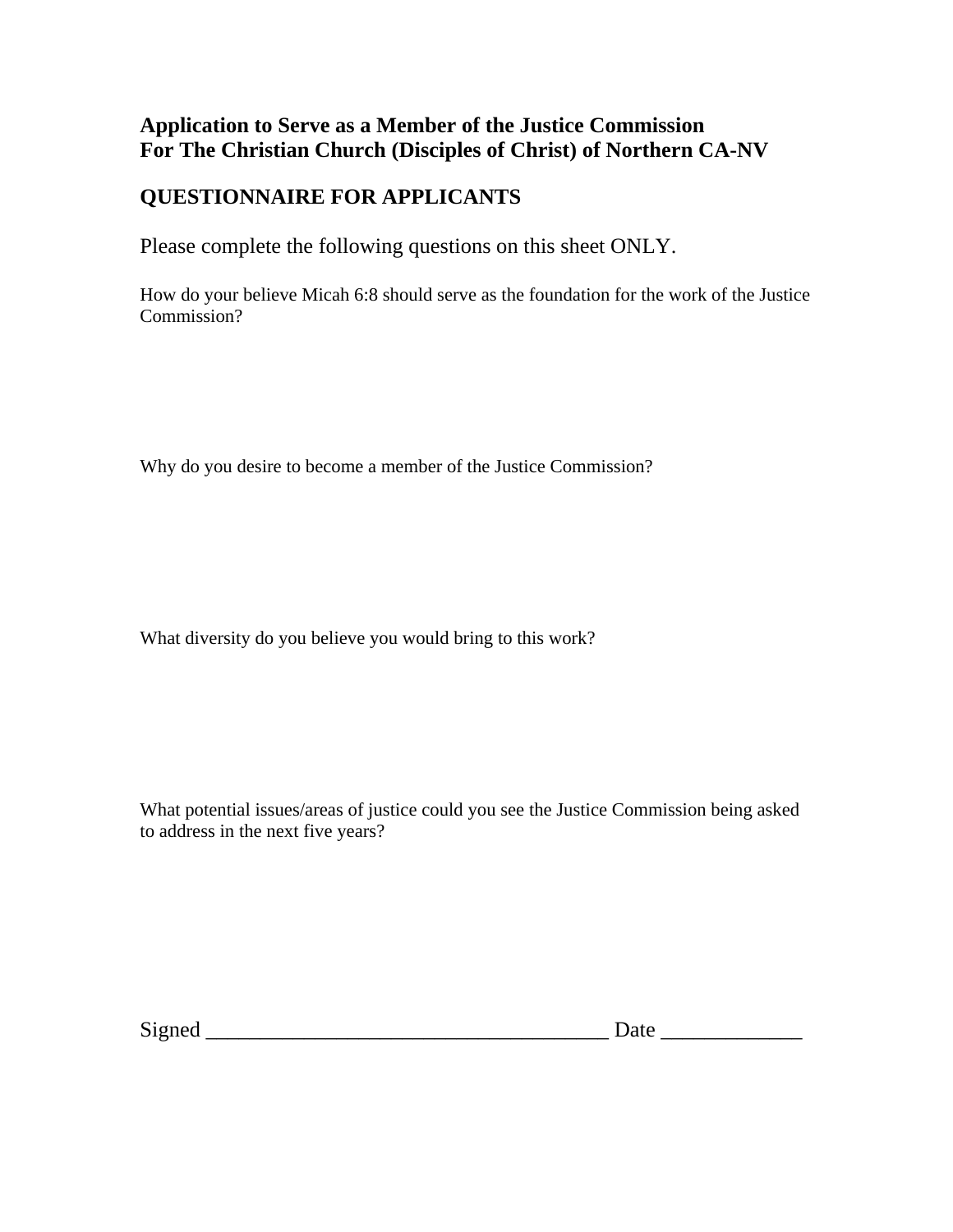# **QUESTIONNAIRE FOR APPLICANTS**

Please complete the following questions on this sheet ONLY.

How do your believe Micah 6:8 should serve as the foundation for the work of the Justice Commission?

Why do you desire to become a member of the Justice Commission?

What diversity do you believe you would bring to this work?

What potential issues/areas of justice could you see the Justice Commission being asked to address in the next five years?

Signed \_\_\_\_\_\_\_\_\_\_\_\_\_\_\_\_\_\_\_\_\_\_\_\_\_\_\_\_\_\_\_\_\_\_\_\_\_ Date \_\_\_\_\_\_\_\_\_\_\_\_\_